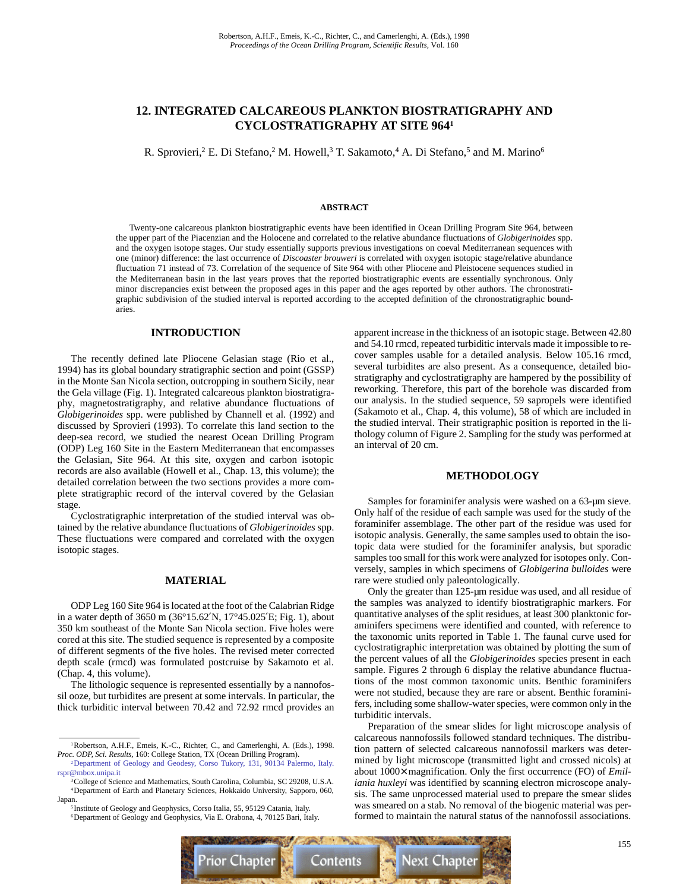# **12. INTEGRATED CALCAREOUS PLANKTON BIOSTRATIGRAPHY AND CYCLOSTRATIGRAPHY AT SITE 9641**

R. Sprovieri,<sup>2</sup> E. Di Stefano,<sup>2</sup> M. Howell,<sup>3</sup> T. Sakamoto,<sup>4</sup> A. Di Stefano,<sup>5</sup> and M. Marino<sup>6</sup>

### **ABSTRACT**

Twenty-one calcareous plankton biostratigraphic events have been identified in Ocean Drilling Program Site 964, between the upper part of the Piacenzian and the Holocene and correlated to the relative abundance fluctuations of *Globigerinoides* spp. and the oxygen isotope stages. Our study essentially supports previous investigations on coeval Mediterranean sequences with one (minor) difference: the last occurrence of *Discoaster brouweri* is correlated with oxygen isotopic stage/relative abundance fluctuation 71 instead of 73. Correlation of the sequence of Site 964 with other Pliocene and Pleistocene sequences studied in the Mediterranean basin in the last years proves that the reported biostratigraphic events are essentially synchronous. Only minor discrepancies exist between the proposed ages in this paper and the ages reported by other authors. The chronostratigraphic subdivision of the studied interval is reported according to the accepted definition of the chronostratigraphic boundaries.

### **INTRODUCTION**

The recently defined late Pliocene Gelasian stage (Rio et al., 1994) has its global boundary stratigraphic section and point (GSSP) in the Monte San Nicola section, outcropping in southern Sicily, near the Gela village (Fig. 1). Integrated calcareous plankton biostratigraphy, magnetostratigraphy, and relative abundance fluctuations of *Globigerinoides* spp. were published by Channell et al. (1992) and discussed by Sprovieri (1993). To correlate this land section to the deep-sea record, we studied the nearest Ocean Drilling Program (ODP) Leg 160 Site in the Eastern Mediterranean that encompasses the Gelasian, Site 964. At this site, oxygen and carbon isotopic records are also available (Howell et al., Chap. 13, this volume); the detailed correlation between the two sections provides a more complete stratigraphic record of the interval covered by the Gelasian stage.

Cyclostratigraphic interpretation of the studied interval was obtained by the relative abundance fluctuations of *Globigerinoides* spp. These fluctuations were compared and correlated with the oxygen isotopic stages.

## **MATERIAL**

ODP Leg 160 Site 964 is located at the foot of the Calabrian Ridge in a water depth of 3650 m (36°15.62′N, 17°45.025′E; Fig. 1), about 350 km southeast of the Monte San Nicola section. Five holes were cored at this site. The studied sequence is represented by a composite of different segments of the five holes. The revised meter corrected depth scale (rmcd) was formulated postcruise by Sakamoto et al. (Chap. 4, this volume).

The lithologic sequence is represented essentially by a nannofossil ooze, but turbidites are present at some intervals. In particular, the thick turbiditic interval between 70.42 and 72.92 rmcd provides an

apparent increase in the thickness of an isotopic stage. Between 42.80 and 54.10 rmcd, repeated turbiditic intervals made it impossible to recover samples usable for a detailed analysis. Below 105.16 rmcd, several turbidites are also present. As a consequence, detailed biostratigraphy and cyclostratigraphy are hampered by the possibility of reworking. Therefore, this part of the borehole was discarded from our analysis. In the studied sequence, 59 sapropels were identified (Sakamoto et al., Chap. 4, this volume), 58 of which are included in the studied interval. Their stratigraphic position is reported in the lithology column of Figure 2. Sampling for the study was performed at an interval of 20 cm.

### **METHODOLOGY**

Samples for foraminifer analysis were washed on a 63-µm sieve. Only half of the residue of each sample was used for the study of the foraminifer assemblage. The other part of the residue was used for isotopic analysis. Generally, the same samples used to obtain the isotopic data were studied for the foraminifer analysis, but sporadic samples too small for this work were analyzed for isotopes only. Conversely, samples in which specimens of *Globigerina bulloides* were rare were studied only paleontologically.

Only the greater than 125-µm residue was used, and all residue of the samples was analyzed to identify biostratigraphic markers. For quantitative analyses of the split residues, at least 300 planktonic foraminifers specimens were identified and counted, with reference to the taxonomic units reported in Table 1. The faunal curve used for cyclostratigraphic interpretation was obtained by plotting the sum of the percent values of all the *Globigerinoides* species present in each sample. Figures 2 through 6 display the relative abundance fluctuations of the most common taxonomic units. Benthic foraminifers were not studied, because they are rare or absent. Benthic foraminifers, including some shallow-water species, were common only in the turbiditic intervals.

Preparation of the smear slides for light microscope analysis of calcareous nannofossils followed standard techniques. The distribution pattern of selected calcareous nannofossil markers was determined by light microscope (transmitted light and crossed nicols) at about 1000× magnification. Only the first occurrence (FO) of *Emiliania huxleyi* was identified by scanning electron microscope analysis. The same unprocessed material used to prepare the smear slides was smeared on a stab. No removal of the biogenic material was performed to maintain the natural status of the nannofossil associations.



<sup>1</sup>Robertson, A.H.F., Emeis, K.-C., Richter, C., and Camerlenghi, A. (Eds.), 1998. *Proc. ODP, Sci. Results,* 160: College Station, TX (Ocean Drilling Program). [2Department of Geology and Geodesy, Corso Tukory, 131, 90134 Palermo, Italy.](mailto:rspr@mbox.unipa.it)

rspr@mbox.unipa.it 3College of Science and Mathematics, South Carolina, Columbia, SC 29208, U.S.A.

<sup>4</sup>Department of Earth and Planetary Sciences, Hokkaido University, Sapporo, 060, Japan.

<sup>&</sup>lt;sup>5</sup> Institute of Geology and Geophysics, Corso Italia, 55, 95129 Catania, Italy. <sup>6</sup>Department of Geology and Geophysics, Via E. Orabona, 4, 70125 Bari, Italy.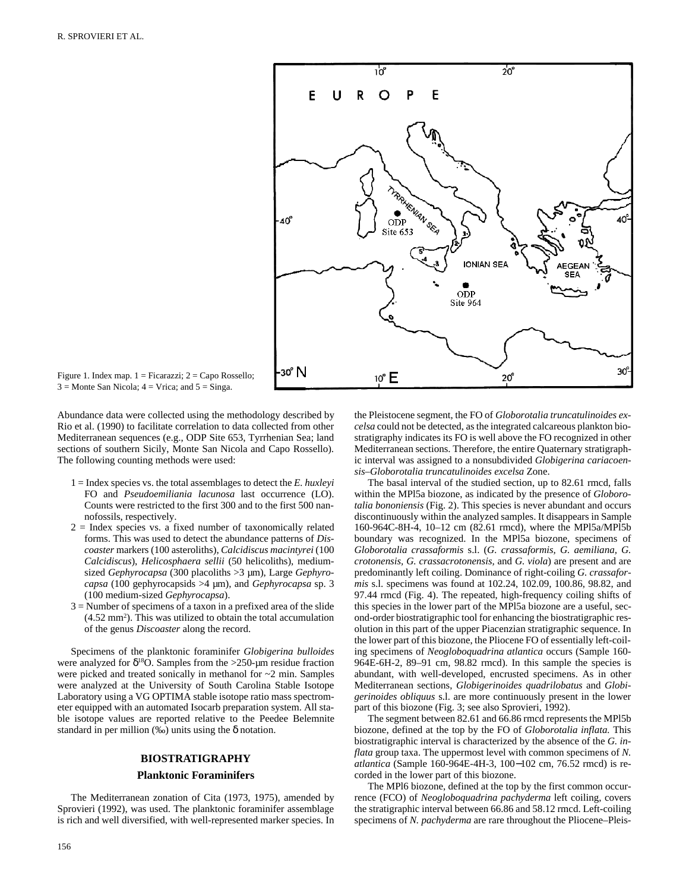

Figure 1. Index map.  $1 =$  Ficarazzi;  $2 =$  Capo Rossello;  $3 =$ Monte San Nicola;  $4 =$ Vrica; and  $5 =$ Singa.

Abundance data were collected using the methodology described by Rio et al. (1990) to facilitate correlation to data collected from other Mediterranean sequences (e.g., ODP Site 653, Tyrrhenian Sea; land sections of southern Sicily, Monte San Nicola and Capo Rossello). The following counting methods were used:

- 1 = Index species vs. the total assemblages to detect the *E. huxleyi* FO and *Pseudoemiliania lacunosa* last occurrence (LO). Counts were restricted to the first 300 and to the first 500 nannofossils, respectively.
- $2 =$  Index species vs. a fixed number of taxonomically related forms. This was used to detect the abundance patterns of *Discoaster* markers (100 asteroliths), *Calcidiscus macintyrei* (100 *Calcidiscus*), *Helicosphaera sellii* (50 helicoliths), mediumsized *Gephyrocapsa* (300 placoliths >3 µm), Large *Gephyrocapsa* (100 gephyrocapsids >4 µm), and *Gephyrocapsa* sp. 3 (100 medium-sized *Gephyrocapsa*).
- 3 = Number of specimens of a taxon in a prefixed area of the slide  $(4.52 \text{ mm}^2)$ . This was utilized to obtain the total accumulation of the genus *Discoaster* along the record.

Specimens of the planktonic foraminifer *Globigerina bulloides* were analyzed for  $\delta^{18}$ O. Samples from the >250-um residue fraction were picked and treated sonically in methanol for ~2 min. Samples were analyzed at the University of South Carolina Stable Isotope Laboratory using a VG OPTIMA stable isotope ratio mass spectrometer equipped with an automated Isocarb preparation system. All stable isotope values are reported relative to the Peedee Belemnite standard in per million  $(\%$ ) units using the  $\delta$  notation.

### **BIOSTRATIGRAPHY**

### **Planktonic Foraminifers**

The Mediterranean zonation of Cita (1973, 1975), amended by Sprovieri (1992), was used. The planktonic foraminifer assemblage is rich and well diversified, with well-represented marker species. In ic interval was assigned to a nonsubdivided *Globigerina cariacoensis*–*Globorotalia truncatulinoides excelsa* Zone. The basal interval of the studied section, up to 82.61 rmcd, falls within the MPl5a biozone, as indicated by the presence of *Globorotalia bononiensis* (Fig. 2). This species is never abundant and occurs

discontinuously within the analyzed samples. It disappears in Sample 160-964C-8H-4, 10–12 cm (82.61 rmcd), where the MPl5a/MPl5b boundary was recognized. In the MPl5a biozone, specimens of *Globorotalia crassaformis* s.l. (*G. crassaformis, G. aemiliana, G. crotonensis, G. crassacrotonensis,* and *G. viola*) are present and are predominantly left coiling. Dominance of right-coiling *G. crassaformis* s.l. specimens was found at 102.24, 102.09, 100.86, 98.82, and 97.44 rmcd (Fig. 4). The repeated, high-frequency coiling shifts of this species in the lower part of the MPl5a biozone are a useful, second-order biostratigraphic tool for enhancing the biostratigraphic resolution in this part of the upper Piacenzian stratigraphic sequence. In the lower part of this biozone, the Pliocene FO of essentially left-coiling specimens of *Neogloboquadrina atlantica* occurs (Sample 160- 964E-6H-2, 89–91 cm, 98.82 rmcd). In this sample the species is abundant, with well-developed, encrusted specimens. As in other Mediterranean sections, *Globigerinoides quadrilobatus* and *Globigerinoides obliquus* s.l. are more continuously present in the lower part of this biozone (Fig. 3; see also Sprovieri, 1992).

the Pleistocene segment, the FO of *Globorotalia truncatulinoides excelsa* could not be detected, as the integrated calcareous plankton biostratigraphy indicates its FO is well above the FO recognized in other Mediterranean sections. Therefore, the entire Quaternary stratigraph-

The segment between 82.61 and 66.86 rmcd represents the MPl5b biozone, defined at the top by the FO of *Globorotalia inflata.* This biostratigraphic interval is characterized by the absence of the *G. inflata* group taxa. The uppermost level with common specimens of *N. atlantica* (Sample 160-964E-4H-3, 100−102 cm, 76.52 rmcd) is recorded in the lower part of this biozone.

The MPl6 biozone, defined at the top by the first common occurrence (FCO) of *Neogloboquadrina pachyderma* left coiling, covers the stratigraphic interval between 66.86 and 58.12 rmcd. Left-coiling specimens of *N. pachyderma* are rare throughout the Pliocene–Pleis-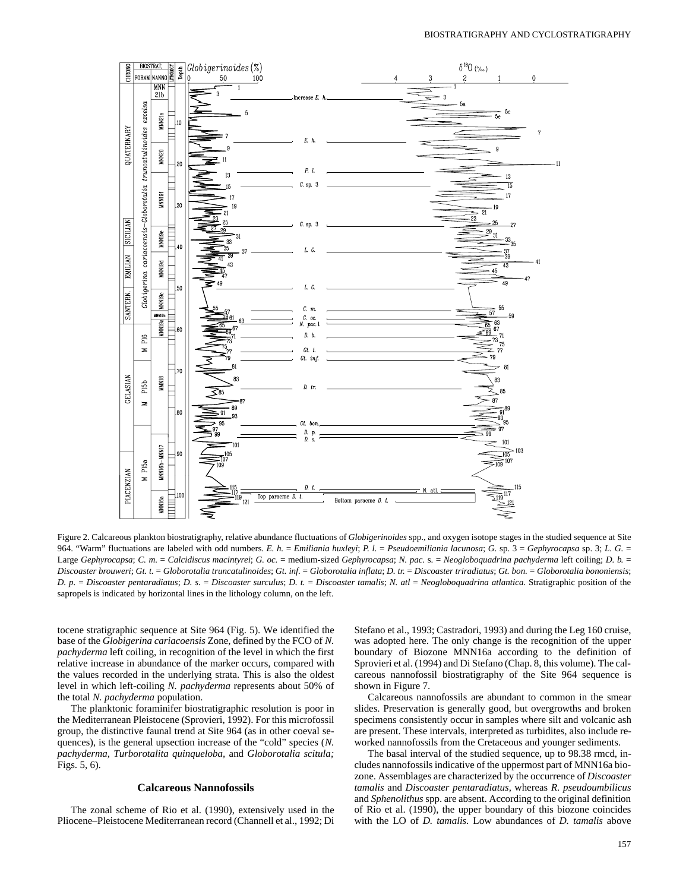

Figure 2. Calcareous plankton biostratigraphy, relative abundance fluctuations of *Globigerinoides* spp., and oxygen isotope stages in the studied sequence at Site 964. "Warm" fluctuations are labeled with odd numbers. *E. h.* = *Emiliania huxleyi*; *P. l.* = *Pseudoemiliania lacunosa*; *G.* sp. 3 = *Gephyrocapsa* sp. 3; *L. G.* = Large *Gephyrocapsa*; *C. m.* = *Calcidiscus macintyrei*; *G. oc.* = medium-sized *Gephyrocapsa*; *N. pac.* s. = *Neogloboquadrina pachyderma* left coiling; *D. b.* = Discoaster brouweri; Gt. t. = Globorotalia truncatulinoides; Gt. inf. = Globorotalia inflata; D. tr. = Discoaster triradiatus; Gt. bon. = Globorotalia bononiensis; *D. p.* = *Discoaster pentaradiatus*; *D. s.* = *Discoaster surculus*; *D. t.* = *Discoaster tamalis*; *N. atl* = *Neogloboquadrina atlantica.* Stratigraphic position of the sapropels is indicated by horizontal lines in the lithology column, on the left.

tocene stratigraphic sequence at Site 964 (Fig. 5). We identified the base of the *Globigerina cariacoensis* Zone, defined by the FCO of *N. pachyderma* left coiling, in recognition of the level in which the first relative increase in abundance of the marker occurs, compared with the values recorded in the underlying strata. This is also the oldest level in which left-coiling *N. pachyderma* represents about 50% of the total *N. pachyderma* population.

The planktonic foraminifer biostratigraphic resolution is poor in the Mediterranean Pleistocene (Sprovieri, 1992). For this microfossil group, the distinctive faunal trend at Site 964 (as in other coeval sequences), is the general upsection increase of the "cold" species (*N. pachyderma, Turborotalita quinqueloba,* and *Globorotalia scitula;* Figs. 5, 6).

### **Calcareous Nannofossils**

The zonal scheme of Rio et al. (1990), extensively used in the Pliocene–Pleistocene Mediterranean record (Channell et al., 1992; Di Stefano et al., 1993; Castradori, 1993) and during the Leg 160 cruise, was adopted here. The only change is the recognition of the upper boundary of Biozone MNN16a according to the definition of Sprovieri et al. (1994) and Di Stefano (Chap. 8, this volume). The calcareous nannofossil biostratigraphy of the Site 964 sequence is shown in Figure 7.

Calcareous nannofossils are abundant to common in the smear slides. Preservation is generally good, but overgrowths and broken specimens consistently occur in samples where silt and volcanic ash are present. These intervals, interpreted as turbidites, also include reworked nannofossils from the Cretaceous and younger sediments.

The basal interval of the studied sequence, up to 98.38 rmcd, includes nannofossils indicative of the uppermost part of MNN16a biozone. Assemblages are characterized by the occurrence of *Discoaster tamalis* and *Discoaster pentaradiatus,* whereas *R. pseudoumbilicus* and *Sphenolithus* spp. are absent. According to the original definition of Rio et al. (1990), the upper boundary of this biozone coincides with the LO of *D. tamalis.* Low abundances of *D. tamalis* above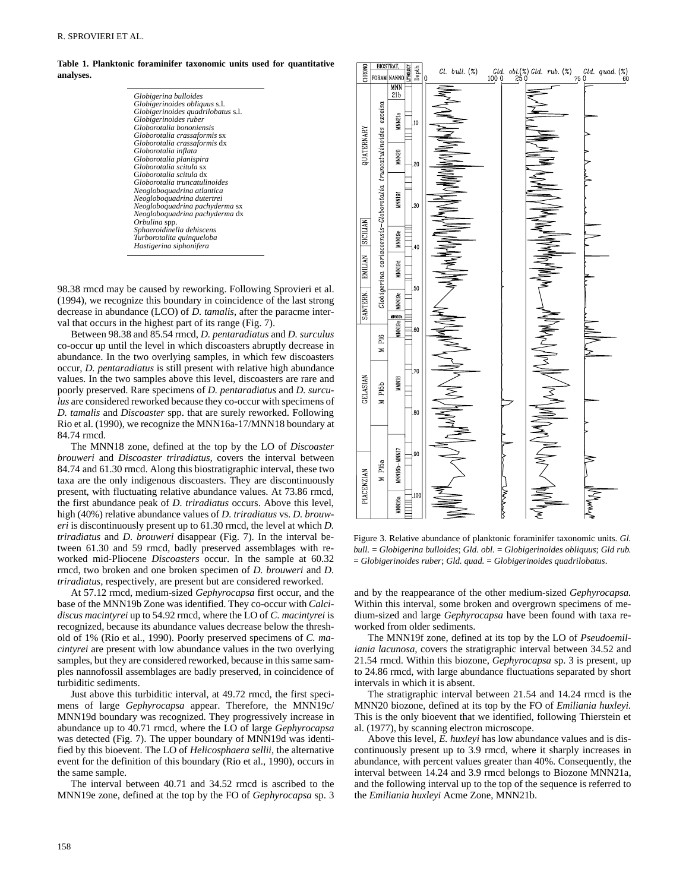**Table 1. Planktonic foraminifer taxonomic units used for quantitative analyses.**

| Globigerina bulloides              |
|------------------------------------|
| Globigerinoides obliquus s.l.      |
| Globigerinoides quadrilobatus s.l. |
| Globigerinoides ruber              |
| Globorotalia bononiensis           |
| Globorotalia crassaformis sx       |
| Globorotalia crassaformis dx       |
| Globorotalia inflata               |
| Globorotalia planispira            |
| Globorotalia scitula sx            |
| Globorotalia scitula dx            |
| Globorotalia truncatulinoides      |
| Neogloboquadrina atlantica         |
| Neogloboquadrina dutertrei         |
| Neogloboquadrina pachyderma sx     |
| Neogloboquadrina pachyderma dx     |
| Orbulina spp.                      |
| Sphaeroidinella dehiscens          |
| Turborotalita quinqueloba          |
| Hastigerina siphonifera            |
|                                    |

98.38 rmcd may be caused by reworking. Following Sprovieri et al. (1994), we recognize this boundary in coincidence of the last strong decrease in abundance (LCO) of *D. tamalis,* after the paracme interval that occurs in the highest part of its range (Fig. 7).

Between 98.38 and 85.54 rmcd, *D. pentaradiatus* and *D. surculus* co-occur up until the level in which discoasters abruptly decrease in abundance. In the two overlying samples, in which few discoasters occur, *D. pentaradiatus* is still present with relative high abundance values. In the two samples above this level, discoasters are rare and poorly preserved. Rare specimens of *D. pentaradiatus* and *D. surculus* are considered reworked because they co-occur with specimens of *D. tamalis* and *Discoaster* spp. that are surely reworked. Following Rio et al. (1990), we recognize the MNN16a-17/MNN18 boundary at 84.74 rmcd.

The MNN18 zone, defined at the top by the LO of *Discoaster brouweri* and *Discoaster triradiatus,* covers the interval between 84.74 and 61.30 rmcd. Along this biostratigraphic interval, these two taxa are the only indigenous discoasters. They are discontinuously present, with fluctuating relative abundance values. At 73.86 rmcd, the first abundance peak of *D. triradiatus* occurs. Above this level, high (40%) relative abundance values of *D. triradiatus* vs. *D. brouweri* is discontinuously present up to 61.30 rmcd, the level at which *D. triradiatus* and *D. brouweri* disappear (Fig. 7). In the interval between 61.30 and 59 rmcd, badly preserved assemblages with reworked mid-Pliocene *Discoasters* occur. In the sample at 60.32 rmcd, two broken and one broken specimen of *D. brouweri* and *D. triradiatus,* respectively, are present but are considered reworked.

At 57.12 rmcd, medium-sized *Gephyrocapsa* first occur, and the base of the MNN19b Zone was identified. They co-occur with *Calcidiscus macintyrei* up to 54.92 rmcd, where the LO of *C. macintyrei* is recognized, because its abundance values decrease below the threshold of 1% (Rio et al., 1990). Poorly preserved specimens of *C. macintyrei* are present with low abundance values in the two overlying samples, but they are considered reworked, because in this same samples nannofossil assemblages are badly preserved, in coincidence of turbiditic sediments.

Just above this turbiditic interval, at 49.72 rmcd, the first specimens of large *Gephyrocapsa* appear. Therefore, the MNN19c/ MNN19d boundary was recognized. They progressively increase in abundance up to 40.71 rmcd, where the LO of large *Gephyrocapsa* was detected (Fig. 7). The upper boundary of MNN19d was identified by this bioevent. The LO of *Helicosphaera sellii,* the alternative event for the definition of this boundary (Rio et al., 1990), occurs in the same sample.

The interval between 40.71 and 34.52 rmcd is ascribed to the MNN19e zone, defined at the top by the FO of *Gephyrocapsa* sp. 3



Figure 3. Relative abundance of planktonic foraminifer taxonomic units. *Gl. bull.* = *Globigerina bulloides*; *Gld. obl.* = *Globigerinoides obliquus*; *Gld rub.* = *Globigerinoides ruber*; *Gld. quad.* = *Globigerinoides quadrilobatus*.

and by the reappearance of the other medium-sized *Gephyrocapsa.* Within this interval, some broken and overgrown specimens of medium-sized and large *Gephyrocapsa* have been found with taxa reworked from older sediments.

The MNN19f zone, defined at its top by the LO of *Pseudoemiliania lacunosa,* covers the stratigraphic interval between 34.52 and 21.54 rmcd. Within this biozone, *Gephyrocapsa* sp. 3 is present, up to 24.86 rmcd, with large abundance fluctuations separated by short intervals in which it is absent.

The stratigraphic interval between 21.54 and 14.24 rmcd is the MNN20 biozone, defined at its top by the FO of *Emiliania huxleyi.* This is the only bioevent that we identified, following Thierstein et al. (1977), by scanning electron microscope.

Above this level, *E. huxleyi* has low abundance values and is discontinuously present up to 3.9 rmcd, where it sharply increases in abundance, with percent values greater than 40%. Consequently, the interval between 14.24 and 3.9 rmcd belongs to Biozone MNN21a, and the following interval up to the top of the sequence is referred to the *Emiliania huxleyi* Acme Zone, MNN21b.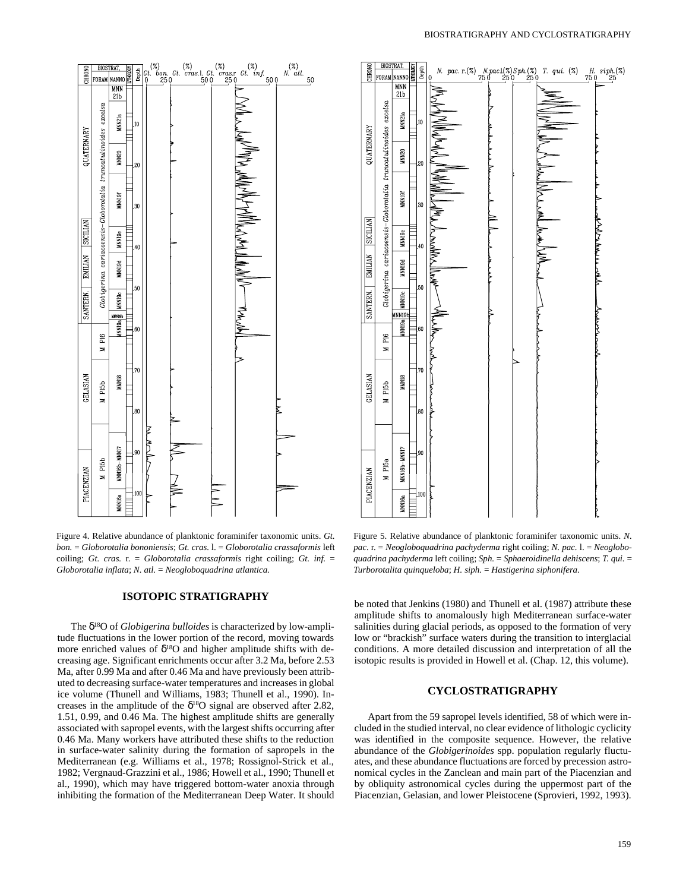

Figure 4. Relative abundance of planktonic foraminifer taxonomic units. *Gt. bon.* = *Globorotalia bononiensis*; *Gt. cras.* l. = *Globorotalia crassaformis* left coiling; *Gt. cras.* r. = *Globorotalia crassaformis* right coiling; *Gt. inf.* = *Globorotalia inflata*; *N. atl.* = *Neogloboquadrina atlantica.*

### **ISOTOPIC STRATIGRAPHY**

The δ18O of *Globigerina bulloides* is characterized by low-amplitude fluctuations in the lower portion of the record, moving towards more enriched values of  $\delta^{18}O$  and higher amplitude shifts with decreasing age. Significant enrichments occur after 3.2 Ma, before 2.53 Ma, after 0.99 Ma and after 0.46 Ma and have previously been attributed to decreasing surface-water temperatures and increases in global ice volume (Thunell and Williams, 1983; Thunell et al., 1990). Increases in the amplitude of the  $\delta^{18}O$  signal are observed after 2.82, 1.51, 0.99, and 0.46 Ma. The highest amplitude shifts are generally associated with sapropel events, with the largest shifts occurring after 0.46 Ma. Many workers have attributed these shifts to the reduction in surface-water salinity during the formation of sapropels in the Mediterranean (e.g. Williams et al., 1978; Rossignol-Strick et al., 1982; Vergnaud-Grazzini et al., 1986; Howell et al., 1990; Thunell et al., 1990), which may have triggered bottom-water anoxia through inhibiting the formation of the Mediterranean Deep Water. It should



Figure 5. Relative abundance of planktonic foraminifer taxonomic units. *N. pac.* r. = *Neogloboquadrina pachyderma* right coiling; *N. pac.* l. = *Neogloboquadrina pachyderma* left coiling; *Sph.* = *Sphaeroidinella dehiscens*; *T. qui.* = *Turborotalita quinqueloba*; *H. siph.* = *Hastigerina siphonifera.*

be noted that Jenkins (1980) and Thunell et al. (1987) attribute these amplitude shifts to anomalously high Mediterranean surface-water salinities during glacial periods, as opposed to the formation of very low or "brackish" surface waters during the transition to interglacial conditions. A more detailed discussion and interpretation of all the isotopic results is provided in Howell et al. (Chap. 12, this volume).

### **CYCLOSTRATIGRAPHY**

Apart from the 59 sapropel levels identified, 58 of which were included in the studied interval, no clear evidence of lithologic cyclicity was identified in the composite sequence. However, the relative abundance of the *Globigerinoides* spp. population regularly fluctuates, and these abundance fluctuations are forced by precession astronomical cycles in the Zanclean and main part of the Piacenzian and by obliquity astronomical cycles during the uppermost part of the Piacenzian, Gelasian, and lower Pleistocene (Sprovieri, 1992, 1993).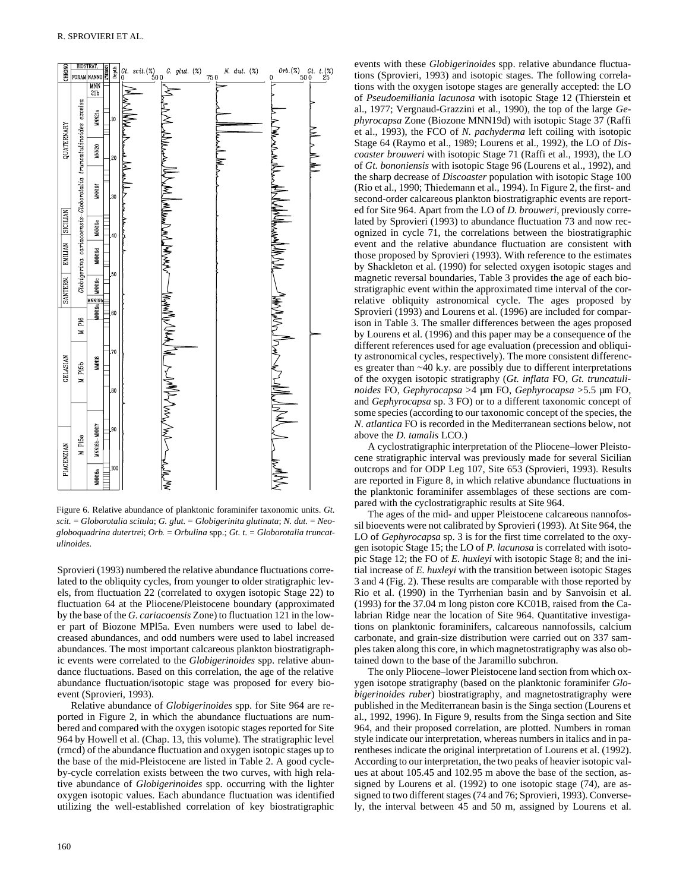

Figure 6. Relative abundance of planktonic foraminifer taxonomic units. *Gt. scit.* = *Globorotalia scitula*; *G. glut.* = *Globigerinita glutinata*; *N. dut.* = *Neogloboquadrina dutertrei*; *Orb.* = *Orbulina* spp.; *Gt. t.* = *Globorotalia truncatulinoides.*

Sprovieri (1993) numbered the relative abundance fluctuations correlated to the obliquity cycles, from younger to older stratigraphic levels, from fluctuation 22 (correlated to oxygen isotopic Stage 22) to fluctuation 64 at the Pliocene/Pleistocene boundary (approximated by the base of the *G. cariacoensis* Zone) to fluctuation 121 in the lower part of Biozone MPl5a. Even numbers were used to label decreased abundances, and odd numbers were used to label increased abundances. The most important calcareous plankton biostratigraphic events were correlated to the *Globigerinoides* spp. relative abundance fluctuations. Based on this correlation, the age of the relative abundance fluctuation/isotopic stage was proposed for every bioevent (Sprovieri, 1993).

Relative abundance of *Globigerinoides* spp. for Site 964 are reported in Figure 2, in which the abundance fluctuations are numbered and compared with the oxygen isotopic stages reported for Site 964 by Howell et al. (Chap. 13, this volume). The stratigraphic level (rmcd) of the abundance fluctuation and oxygen isotopic stages up to the base of the mid-Pleistocene are listed in Table 2. A good cycleby-cycle correlation exists between the two curves, with high relative abundance of *Globigerinoides* spp. occurring with the lighter oxygen isotopic values. Each abundance fluctuation was identified utilizing the well-established correlation of key biostratigraphic events with these *Globigerinoides* spp. relative abundance fluctuations (Sprovieri, 1993) and isotopic stages. The following correlations with the oxygen isotope stages are generally accepted: the LO of *Pseudoemiliania lacunosa* with isotopic Stage 12 (Thierstein et al., 1977; Vergnaud-Grazzini et al., 1990), the top of the large *Gephyrocapsa* Zone (Biozone MNN19d) with isotopic Stage 37 (Raffi et al., 1993), the FCO of *N. pachyderma* left coiling with isotopic Stage 64 (Raymo et al., 1989; Lourens et al., 1992), the LO of *Discoaster brouweri* with isotopic Stage 71 (Raffi et al., 1993), the LO of *Gt. bononiensis* with isotopic Stage 96 (Lourens et al., 1992), and the sharp decrease of *Discoaster* population with isotopic Stage 100 (Rio et al., 1990; Thiedemann et al., 1994). In Figure 2, the first- and second-order calcareous plankton biostratigraphic events are reported for Site 964. Apart from the LO of *D. brouweri,* previously correlated by Sprovieri (1993) to abundance fluctuation 73 and now recognized in cycle 71, the correlations between the biostratigraphic event and the relative abundance fluctuation are consistent with those proposed by Sprovieri (1993). With reference to the estimates by Shackleton et al. (1990) for selected oxygen isotopic stages and magnetic reversal boundaries, Table 3 provides the age of each biostratigraphic event within the approximated time interval of the correlative obliquity astronomical cycle. The ages proposed by Sprovieri (1993) and Lourens et al. (1996) are included for comparison in Table 3. The smaller differences between the ages proposed by Lourens et al. (1996) and this paper may be a consequence of the different references used for age evaluation (precession and obliquity astronomical cycles, respectively). The more consistent differences greater than ~40 k.y. are possibly due to different interpretations of the oxygen isotopic stratigraphy (*Gt. inflata* FO, *Gt. truncatulinoides* FO, *Gephyrocapsa* >4 µm FO, *Gephyrocapsa* >5.5 µm FO, and *Gephyrocapsa* sp. 3 FO) or to a different taxonomic concept of some species (according to our taxonomic concept of the species, the *N. atlantica* FO is recorded in the Mediterranean sections below, not above the *D. tamalis* LCO.)

A cyclostratigraphic interpretation of the Pliocene–lower Pleistocene stratigraphic interval was previously made for several Sicilian outcrops and for ODP Leg 107, Site 653 (Sprovieri, 1993). Results are reported in Figure 8, in which relative abundance fluctuations in the planktonic foraminifer assemblages of these sections are compared with the cyclostratigraphic results at Site 964.

The ages of the mid- and upper Pleistocene calcareous nannofossil bioevents were not calibrated by Sprovieri (1993). At Site 964, the LO of *Gephyrocapsa* sp. 3 is for the first time correlated to the oxygen isotopic Stage 15; the LO of *P. lacunosa* is correlated with isotopic Stage 12; the FO of *E. huxleyi* with isotopic Stage 8; and the initial increase of *E. huxleyi* with the transition between isotopic Stages 3 and 4 (Fig. 2). These results are comparable with those reported by Rio et al. (1990) in the Tyrrhenian basin and by Sanvoisin et al. (1993) for the 37.04 m long piston core KC01B, raised from the Calabrian Ridge near the location of Site 964. Quantitative investigations on planktonic foraminifers, calcareous nannofossils, calcium carbonate, and grain-size distribution were carried out on 337 samples taken along this core, in which magnetostratigraphy was also obtained down to the base of the Jaramillo subchron.

The only Pliocene–lower Pleistocene land section from which oxygen isotope stratigraphy (based on the planktonic foraminifer *Globigerinoides ruber*) biostratigraphy, and magnetostratigraphy were published in the Mediterranean basin is the Singa section (Lourens et al., 1992, 1996). In Figure 9, results from the Singa section and Site 964, and their proposed correlation, are plotted. Numbers in roman style indicate our interpretation, whereas numbers in italics and in parentheses indicate the original interpretation of Lourens et al. (1992). According to our interpretation, the two peaks of heavier isotopic values at about 105.45 and 102.95 m above the base of the section, assigned by Lourens et al. (1992) to one isotopic stage (74), are assigned to two different stages (74 and 76; Sprovieri, 1993). Conversely, the interval between 45 and 50 m, assigned by Lourens et al.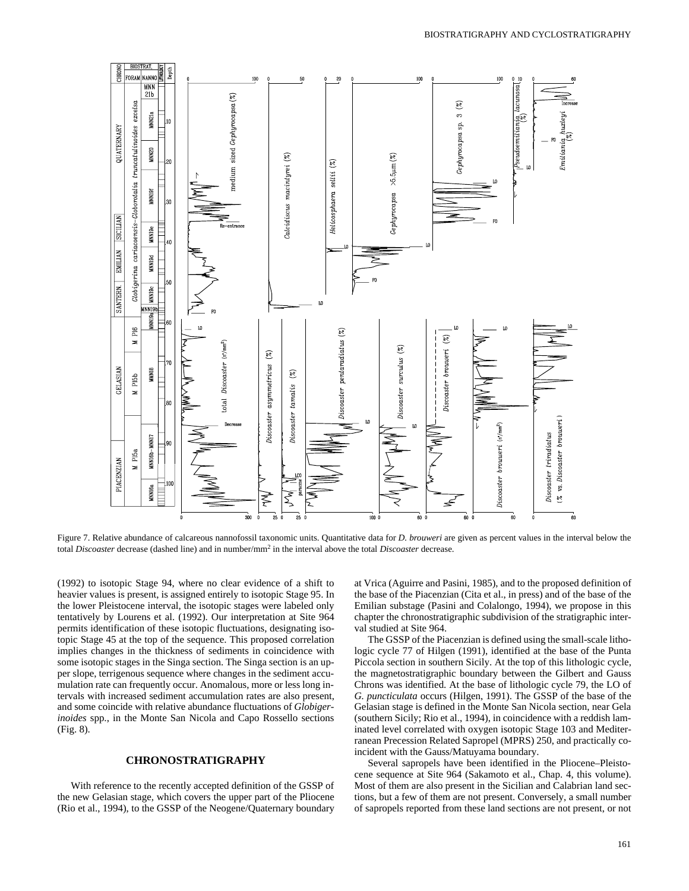

Figure 7. Relative abundance of calcareous nannofossil taxonomic units. Quantitative data for *D. brouweri* are given as percent values in the interval below the total *Discoaster* decrease (dashed line) and in number/mm<sup>2</sup> in the interval above the total *Discoaster* decrease.

(1992) to isotopic Stage 94, where no clear evidence of a shift to heavier values is present, is assigned entirely to isotopic Stage 95. In the lower Pleistocene interval, the isotopic stages were labeled only tentatively by Lourens et al. (1992). Our interpretation at Site 964 permits identification of these isotopic fluctuations, designating isotopic Stage 45 at the top of the sequence. This proposed correlation implies changes in the thickness of sediments in coincidence with some isotopic stages in the Singa section. The Singa section is an upper slope, terrigenous sequence where changes in the sediment accumulation rate can frequently occur. Anomalous, more or less long intervals with increased sediment accumulation rates are also present, and some coincide with relative abundance fluctuations of *Globigerinoides* spp., in the Monte San Nicola and Capo Rossello sections (Fig. 8).

# **CHRONOSTRATIGRAPHY**

With reference to the recently accepted definition of the GSSP of the new Gelasian stage, which covers the upper part of the Pliocene (Rio et al., 1994), to the GSSP of the Neogene/Quaternary boundary

at Vrica (Aguirre and Pasini, 1985), and to the proposed definition of the base of the Piacenzian (Cita et al., in press) and of the base of the Emilian substage (Pasini and Colalongo, 1994), we propose in this chapter the chronostratigraphic subdivision of the stratigraphic interval studied at Site 964.

The GSSP of the Piacenzian is defined using the small-scale lithologic cycle 77 of Hilgen (1991), identified at the base of the Punta Piccola section in southern Sicily. At the top of this lithologic cycle, the magnetostratigraphic boundary between the Gilbert and Gauss Chrons was identified. At the base of lithologic cycle 79, the LO of *G. puncticulata* occurs (Hilgen, 1991). The GSSP of the base of the Gelasian stage is defined in the Monte San Nicola section, near Gela (southern Sicily; Rio et al., 1994), in coincidence with a reddish laminated level correlated with oxygen isotopic Stage 103 and Mediterranean Precession Related Sapropel (MPRS) 250, and practically coincident with the Gauss/Matuyama boundary.

Several sapropels have been identified in the Pliocene–Pleistocene sequence at Site 964 (Sakamoto et al., Chap. 4, this volume). Most of them are also present in the Sicilian and Calabrian land sections, but a few of them are not present. Conversely, a small number of sapropels reported from these land sections are not present, or not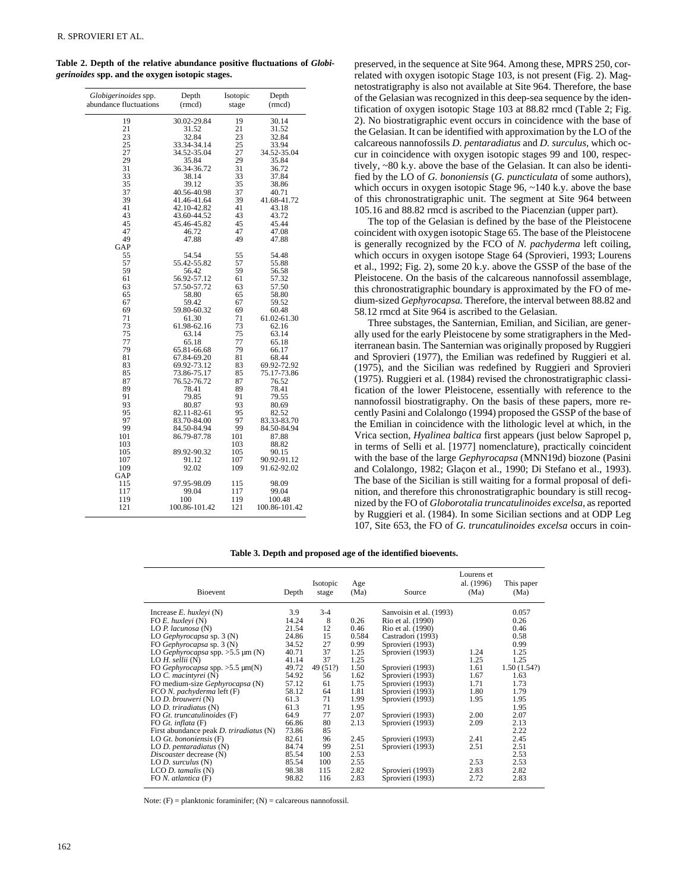**Table 2. Depth of the relative abundance positive fluctuations of** *Globigerinoides* **spp. and the oxygen isotopic stages.**

| Globigerinoides spp.<br>Depth<br>Isotopic<br>Depth<br>abundance fluctuations<br>(rmcd)<br>stage<br>(rmcd)<br>19<br>30.02-29.84<br>19<br>30.14<br>21<br>31.52<br>21<br>31.52<br>23<br>32.84<br>23<br>32.84<br>25<br>25<br>33.34-34.14<br>33.94<br>27<br>34.52-35.04<br>27<br>34.52-35.04<br>29<br>35.84<br>29<br>35.84<br>31<br>36.34-36.72<br>31<br>36.72<br>33<br>38.14<br>33<br>37.84<br>35<br>35<br>39.12<br>38.86<br>37<br>40.56-40.98<br>37<br>40.71<br>39<br>41.46-41.64<br>39<br>41.68-41.72<br>41<br>41<br>42.10-42.82<br>43.18<br>43<br>43.60-44.52<br>43<br>43.72<br>45<br>45.46-45.82<br>45<br>45.44<br>47<br>47<br>46.72<br>47.08<br>49<br>47.88<br>49<br>47.88<br>GAP<br>54.54<br>55<br>55<br>54.48<br>57<br>55.42-55.82<br>57<br>55.88<br>59<br>56.42<br>59<br>56.58<br>56.92-57.12<br>57.32<br>61<br>61<br>63<br>57.50-57.72<br>63<br>57.50<br>65<br>65<br>58.80<br>58.80<br>67<br>59.42<br>67<br>59.52<br>69<br>59.80-60.32<br>69<br>60.48<br>71<br>71<br>61.30<br>61.02-61.30<br>73<br>61.98-62.16<br>73<br>62.16<br>75<br>75<br>63.14<br>63.14<br>77<br>65.18<br>77<br>65.18<br>79<br>79<br>65.81-66.68<br>66.17<br>81<br>67.84-69.20<br>81<br>68.44<br>69.92-72.92<br>83<br>69.92-73.12<br>83<br>85<br>73.86-75.17<br>85<br>75.17-73.86<br>87<br>76.52-76.72<br>87<br>76.52<br>89<br>78.41<br>89<br>78.41<br>91<br>79.85<br>91<br>79.55<br>93<br>80.87<br>93<br>80.69<br>95<br>82.11-82-61<br>95<br>82.52<br>97<br>97<br>83.70-84.00<br>83.33-83.70<br>99<br>99<br>84.50-84.94<br>84.50-84.94<br>101<br>101<br>86.79-87.78<br>87.88<br>103<br>103<br>88.82<br>89.92-90.32<br>105<br>105<br>90.15<br>91.12<br>107<br>107<br>90.92-91.12<br>109<br>92.02<br>109<br>91.62-92.02<br>GAP<br>97.95-98.09<br>115<br>115<br>98.09<br>117<br>99.04<br>117<br>99.04<br>100<br>100.48<br>119<br>119<br>121<br>100.86-101.42<br>121<br>100.86-101.42 |  |  |
|-------------------------------------------------------------------------------------------------------------------------------------------------------------------------------------------------------------------------------------------------------------------------------------------------------------------------------------------------------------------------------------------------------------------------------------------------------------------------------------------------------------------------------------------------------------------------------------------------------------------------------------------------------------------------------------------------------------------------------------------------------------------------------------------------------------------------------------------------------------------------------------------------------------------------------------------------------------------------------------------------------------------------------------------------------------------------------------------------------------------------------------------------------------------------------------------------------------------------------------------------------------------------------------------------------------------------------------------------------------------------------------------------------------------------------------------------------------------------------------------------------------------------------------------------------------------------------------------------------------------------------------------------------------------------------------------------------------------------------------------------------------------------------------------------------------------------------------------------------------|--|--|
|                                                                                                                                                                                                                                                                                                                                                                                                                                                                                                                                                                                                                                                                                                                                                                                                                                                                                                                                                                                                                                                                                                                                                                                                                                                                                                                                                                                                                                                                                                                                                                                                                                                                                                                                                                                                                                                             |  |  |
|                                                                                                                                                                                                                                                                                                                                                                                                                                                                                                                                                                                                                                                                                                                                                                                                                                                                                                                                                                                                                                                                                                                                                                                                                                                                                                                                                                                                                                                                                                                                                                                                                                                                                                                                                                                                                                                             |  |  |
|                                                                                                                                                                                                                                                                                                                                                                                                                                                                                                                                                                                                                                                                                                                                                                                                                                                                                                                                                                                                                                                                                                                                                                                                                                                                                                                                                                                                                                                                                                                                                                                                                                                                                                                                                                                                                                                             |  |  |
|                                                                                                                                                                                                                                                                                                                                                                                                                                                                                                                                                                                                                                                                                                                                                                                                                                                                                                                                                                                                                                                                                                                                                                                                                                                                                                                                                                                                                                                                                                                                                                                                                                                                                                                                                                                                                                                             |  |  |
|                                                                                                                                                                                                                                                                                                                                                                                                                                                                                                                                                                                                                                                                                                                                                                                                                                                                                                                                                                                                                                                                                                                                                                                                                                                                                                                                                                                                                                                                                                                                                                                                                                                                                                                                                                                                                                                             |  |  |
|                                                                                                                                                                                                                                                                                                                                                                                                                                                                                                                                                                                                                                                                                                                                                                                                                                                                                                                                                                                                                                                                                                                                                                                                                                                                                                                                                                                                                                                                                                                                                                                                                                                                                                                                                                                                                                                             |  |  |
|                                                                                                                                                                                                                                                                                                                                                                                                                                                                                                                                                                                                                                                                                                                                                                                                                                                                                                                                                                                                                                                                                                                                                                                                                                                                                                                                                                                                                                                                                                                                                                                                                                                                                                                                                                                                                                                             |  |  |
|                                                                                                                                                                                                                                                                                                                                                                                                                                                                                                                                                                                                                                                                                                                                                                                                                                                                                                                                                                                                                                                                                                                                                                                                                                                                                                                                                                                                                                                                                                                                                                                                                                                                                                                                                                                                                                                             |  |  |
|                                                                                                                                                                                                                                                                                                                                                                                                                                                                                                                                                                                                                                                                                                                                                                                                                                                                                                                                                                                                                                                                                                                                                                                                                                                                                                                                                                                                                                                                                                                                                                                                                                                                                                                                                                                                                                                             |  |  |
|                                                                                                                                                                                                                                                                                                                                                                                                                                                                                                                                                                                                                                                                                                                                                                                                                                                                                                                                                                                                                                                                                                                                                                                                                                                                                                                                                                                                                                                                                                                                                                                                                                                                                                                                                                                                                                                             |  |  |
|                                                                                                                                                                                                                                                                                                                                                                                                                                                                                                                                                                                                                                                                                                                                                                                                                                                                                                                                                                                                                                                                                                                                                                                                                                                                                                                                                                                                                                                                                                                                                                                                                                                                                                                                                                                                                                                             |  |  |
|                                                                                                                                                                                                                                                                                                                                                                                                                                                                                                                                                                                                                                                                                                                                                                                                                                                                                                                                                                                                                                                                                                                                                                                                                                                                                                                                                                                                                                                                                                                                                                                                                                                                                                                                                                                                                                                             |  |  |
|                                                                                                                                                                                                                                                                                                                                                                                                                                                                                                                                                                                                                                                                                                                                                                                                                                                                                                                                                                                                                                                                                                                                                                                                                                                                                                                                                                                                                                                                                                                                                                                                                                                                                                                                                                                                                                                             |  |  |
|                                                                                                                                                                                                                                                                                                                                                                                                                                                                                                                                                                                                                                                                                                                                                                                                                                                                                                                                                                                                                                                                                                                                                                                                                                                                                                                                                                                                                                                                                                                                                                                                                                                                                                                                                                                                                                                             |  |  |
|                                                                                                                                                                                                                                                                                                                                                                                                                                                                                                                                                                                                                                                                                                                                                                                                                                                                                                                                                                                                                                                                                                                                                                                                                                                                                                                                                                                                                                                                                                                                                                                                                                                                                                                                                                                                                                                             |  |  |
|                                                                                                                                                                                                                                                                                                                                                                                                                                                                                                                                                                                                                                                                                                                                                                                                                                                                                                                                                                                                                                                                                                                                                                                                                                                                                                                                                                                                                                                                                                                                                                                                                                                                                                                                                                                                                                                             |  |  |
|                                                                                                                                                                                                                                                                                                                                                                                                                                                                                                                                                                                                                                                                                                                                                                                                                                                                                                                                                                                                                                                                                                                                                                                                                                                                                                                                                                                                                                                                                                                                                                                                                                                                                                                                                                                                                                                             |  |  |
|                                                                                                                                                                                                                                                                                                                                                                                                                                                                                                                                                                                                                                                                                                                                                                                                                                                                                                                                                                                                                                                                                                                                                                                                                                                                                                                                                                                                                                                                                                                                                                                                                                                                                                                                                                                                                                                             |  |  |
|                                                                                                                                                                                                                                                                                                                                                                                                                                                                                                                                                                                                                                                                                                                                                                                                                                                                                                                                                                                                                                                                                                                                                                                                                                                                                                                                                                                                                                                                                                                                                                                                                                                                                                                                                                                                                                                             |  |  |
|                                                                                                                                                                                                                                                                                                                                                                                                                                                                                                                                                                                                                                                                                                                                                                                                                                                                                                                                                                                                                                                                                                                                                                                                                                                                                                                                                                                                                                                                                                                                                                                                                                                                                                                                                                                                                                                             |  |  |
|                                                                                                                                                                                                                                                                                                                                                                                                                                                                                                                                                                                                                                                                                                                                                                                                                                                                                                                                                                                                                                                                                                                                                                                                                                                                                                                                                                                                                                                                                                                                                                                                                                                                                                                                                                                                                                                             |  |  |
|                                                                                                                                                                                                                                                                                                                                                                                                                                                                                                                                                                                                                                                                                                                                                                                                                                                                                                                                                                                                                                                                                                                                                                                                                                                                                                                                                                                                                                                                                                                                                                                                                                                                                                                                                                                                                                                             |  |  |
|                                                                                                                                                                                                                                                                                                                                                                                                                                                                                                                                                                                                                                                                                                                                                                                                                                                                                                                                                                                                                                                                                                                                                                                                                                                                                                                                                                                                                                                                                                                                                                                                                                                                                                                                                                                                                                                             |  |  |
|                                                                                                                                                                                                                                                                                                                                                                                                                                                                                                                                                                                                                                                                                                                                                                                                                                                                                                                                                                                                                                                                                                                                                                                                                                                                                                                                                                                                                                                                                                                                                                                                                                                                                                                                                                                                                                                             |  |  |
|                                                                                                                                                                                                                                                                                                                                                                                                                                                                                                                                                                                                                                                                                                                                                                                                                                                                                                                                                                                                                                                                                                                                                                                                                                                                                                                                                                                                                                                                                                                                                                                                                                                                                                                                                                                                                                                             |  |  |
|                                                                                                                                                                                                                                                                                                                                                                                                                                                                                                                                                                                                                                                                                                                                                                                                                                                                                                                                                                                                                                                                                                                                                                                                                                                                                                                                                                                                                                                                                                                                                                                                                                                                                                                                                                                                                                                             |  |  |
|                                                                                                                                                                                                                                                                                                                                                                                                                                                                                                                                                                                                                                                                                                                                                                                                                                                                                                                                                                                                                                                                                                                                                                                                                                                                                                                                                                                                                                                                                                                                                                                                                                                                                                                                                                                                                                                             |  |  |
|                                                                                                                                                                                                                                                                                                                                                                                                                                                                                                                                                                                                                                                                                                                                                                                                                                                                                                                                                                                                                                                                                                                                                                                                                                                                                                                                                                                                                                                                                                                                                                                                                                                                                                                                                                                                                                                             |  |  |
|                                                                                                                                                                                                                                                                                                                                                                                                                                                                                                                                                                                                                                                                                                                                                                                                                                                                                                                                                                                                                                                                                                                                                                                                                                                                                                                                                                                                                                                                                                                                                                                                                                                                                                                                                                                                                                                             |  |  |
|                                                                                                                                                                                                                                                                                                                                                                                                                                                                                                                                                                                                                                                                                                                                                                                                                                                                                                                                                                                                                                                                                                                                                                                                                                                                                                                                                                                                                                                                                                                                                                                                                                                                                                                                                                                                                                                             |  |  |
|                                                                                                                                                                                                                                                                                                                                                                                                                                                                                                                                                                                                                                                                                                                                                                                                                                                                                                                                                                                                                                                                                                                                                                                                                                                                                                                                                                                                                                                                                                                                                                                                                                                                                                                                                                                                                                                             |  |  |
|                                                                                                                                                                                                                                                                                                                                                                                                                                                                                                                                                                                                                                                                                                                                                                                                                                                                                                                                                                                                                                                                                                                                                                                                                                                                                                                                                                                                                                                                                                                                                                                                                                                                                                                                                                                                                                                             |  |  |
|                                                                                                                                                                                                                                                                                                                                                                                                                                                                                                                                                                                                                                                                                                                                                                                                                                                                                                                                                                                                                                                                                                                                                                                                                                                                                                                                                                                                                                                                                                                                                                                                                                                                                                                                                                                                                                                             |  |  |
|                                                                                                                                                                                                                                                                                                                                                                                                                                                                                                                                                                                                                                                                                                                                                                                                                                                                                                                                                                                                                                                                                                                                                                                                                                                                                                                                                                                                                                                                                                                                                                                                                                                                                                                                                                                                                                                             |  |  |
|                                                                                                                                                                                                                                                                                                                                                                                                                                                                                                                                                                                                                                                                                                                                                                                                                                                                                                                                                                                                                                                                                                                                                                                                                                                                                                                                                                                                                                                                                                                                                                                                                                                                                                                                                                                                                                                             |  |  |
|                                                                                                                                                                                                                                                                                                                                                                                                                                                                                                                                                                                                                                                                                                                                                                                                                                                                                                                                                                                                                                                                                                                                                                                                                                                                                                                                                                                                                                                                                                                                                                                                                                                                                                                                                                                                                                                             |  |  |
|                                                                                                                                                                                                                                                                                                                                                                                                                                                                                                                                                                                                                                                                                                                                                                                                                                                                                                                                                                                                                                                                                                                                                                                                                                                                                                                                                                                                                                                                                                                                                                                                                                                                                                                                                                                                                                                             |  |  |
|                                                                                                                                                                                                                                                                                                                                                                                                                                                                                                                                                                                                                                                                                                                                                                                                                                                                                                                                                                                                                                                                                                                                                                                                                                                                                                                                                                                                                                                                                                                                                                                                                                                                                                                                                                                                                                                             |  |  |
|                                                                                                                                                                                                                                                                                                                                                                                                                                                                                                                                                                                                                                                                                                                                                                                                                                                                                                                                                                                                                                                                                                                                                                                                                                                                                                                                                                                                                                                                                                                                                                                                                                                                                                                                                                                                                                                             |  |  |
|                                                                                                                                                                                                                                                                                                                                                                                                                                                                                                                                                                                                                                                                                                                                                                                                                                                                                                                                                                                                                                                                                                                                                                                                                                                                                                                                                                                                                                                                                                                                                                                                                                                                                                                                                                                                                                                             |  |  |
|                                                                                                                                                                                                                                                                                                                                                                                                                                                                                                                                                                                                                                                                                                                                                                                                                                                                                                                                                                                                                                                                                                                                                                                                                                                                                                                                                                                                                                                                                                                                                                                                                                                                                                                                                                                                                                                             |  |  |
|                                                                                                                                                                                                                                                                                                                                                                                                                                                                                                                                                                                                                                                                                                                                                                                                                                                                                                                                                                                                                                                                                                                                                                                                                                                                                                                                                                                                                                                                                                                                                                                                                                                                                                                                                                                                                                                             |  |  |
|                                                                                                                                                                                                                                                                                                                                                                                                                                                                                                                                                                                                                                                                                                                                                                                                                                                                                                                                                                                                                                                                                                                                                                                                                                                                                                                                                                                                                                                                                                                                                                                                                                                                                                                                                                                                                                                             |  |  |
|                                                                                                                                                                                                                                                                                                                                                                                                                                                                                                                                                                                                                                                                                                                                                                                                                                                                                                                                                                                                                                                                                                                                                                                                                                                                                                                                                                                                                                                                                                                                                                                                                                                                                                                                                                                                                                                             |  |  |
|                                                                                                                                                                                                                                                                                                                                                                                                                                                                                                                                                                                                                                                                                                                                                                                                                                                                                                                                                                                                                                                                                                                                                                                                                                                                                                                                                                                                                                                                                                                                                                                                                                                                                                                                                                                                                                                             |  |  |
|                                                                                                                                                                                                                                                                                                                                                                                                                                                                                                                                                                                                                                                                                                                                                                                                                                                                                                                                                                                                                                                                                                                                                                                                                                                                                                                                                                                                                                                                                                                                                                                                                                                                                                                                                                                                                                                             |  |  |
|                                                                                                                                                                                                                                                                                                                                                                                                                                                                                                                                                                                                                                                                                                                                                                                                                                                                                                                                                                                                                                                                                                                                                                                                                                                                                                                                                                                                                                                                                                                                                                                                                                                                                                                                                                                                                                                             |  |  |
|                                                                                                                                                                                                                                                                                                                                                                                                                                                                                                                                                                                                                                                                                                                                                                                                                                                                                                                                                                                                                                                                                                                                                                                                                                                                                                                                                                                                                                                                                                                                                                                                                                                                                                                                                                                                                                                             |  |  |
|                                                                                                                                                                                                                                                                                                                                                                                                                                                                                                                                                                                                                                                                                                                                                                                                                                                                                                                                                                                                                                                                                                                                                                                                                                                                                                                                                                                                                                                                                                                                                                                                                                                                                                                                                                                                                                                             |  |  |
|                                                                                                                                                                                                                                                                                                                                                                                                                                                                                                                                                                                                                                                                                                                                                                                                                                                                                                                                                                                                                                                                                                                                                                                                                                                                                                                                                                                                                                                                                                                                                                                                                                                                                                                                                                                                                                                             |  |  |
|                                                                                                                                                                                                                                                                                                                                                                                                                                                                                                                                                                                                                                                                                                                                                                                                                                                                                                                                                                                                                                                                                                                                                                                                                                                                                                                                                                                                                                                                                                                                                                                                                                                                                                                                                                                                                                                             |  |  |
|                                                                                                                                                                                                                                                                                                                                                                                                                                                                                                                                                                                                                                                                                                                                                                                                                                                                                                                                                                                                                                                                                                                                                                                                                                                                                                                                                                                                                                                                                                                                                                                                                                                                                                                                                                                                                                                             |  |  |
|                                                                                                                                                                                                                                                                                                                                                                                                                                                                                                                                                                                                                                                                                                                                                                                                                                                                                                                                                                                                                                                                                                                                                                                                                                                                                                                                                                                                                                                                                                                                                                                                                                                                                                                                                                                                                                                             |  |  |
|                                                                                                                                                                                                                                                                                                                                                                                                                                                                                                                                                                                                                                                                                                                                                                                                                                                                                                                                                                                                                                                                                                                                                                                                                                                                                                                                                                                                                                                                                                                                                                                                                                                                                                                                                                                                                                                             |  |  |
|                                                                                                                                                                                                                                                                                                                                                                                                                                                                                                                                                                                                                                                                                                                                                                                                                                                                                                                                                                                                                                                                                                                                                                                                                                                                                                                                                                                                                                                                                                                                                                                                                                                                                                                                                                                                                                                             |  |  |
|                                                                                                                                                                                                                                                                                                                                                                                                                                                                                                                                                                                                                                                                                                                                                                                                                                                                                                                                                                                                                                                                                                                                                                                                                                                                                                                                                                                                                                                                                                                                                                                                                                                                                                                                                                                                                                                             |  |  |

preserved, in the sequence at Site 964. Among these, MPRS 250, correlated with oxygen isotopic Stage 103, is not present (Fig. 2). Magnetostratigraphy is also not available at Site 964. Therefore, the base of the Gelasian was recognized in this deep-sea sequence by the identification of oxygen isotopic Stage 103 at 88.82 rmcd (Table 2; Fig. 2). No biostratigraphic event occurs in coincidence with the base of the Gelasian. It can be identified with approximation by the LO of the calcareous nannofossils *D. pentaradiatus* and *D. surculus,* which occur in coincidence with oxygen isotopic stages 99 and 100, respectively, ~80 k.y. above the base of the Gelasian. It can also be identified by the LO of *G. bononiensis* (*G. puncticulata* of some authors), which occurs in oxygen isotopic Stage 96, ~140 k.y. above the base of this chronostratigraphic unit. The segment at Site 964 between 105.16 and 88.82 rmcd is ascribed to the Piacenzian (upper part).

The top of the Gelasian is defined by the base of the Pleistocene coincident with oxygen isotopic Stage 65. The base of the Pleistocene is generally recognized by the FCO of *N. pachyderma* left coiling, which occurs in oxygen isotope Stage 64 (Sprovieri, 1993; Lourens et al., 1992; Fig. 2), some 20 k.y. above the GSSP of the base of the Pleistocene. On the basis of the calcareous nannofossil assemblage, this chronostratigraphic boundary is approximated by the FO of medium-sized *Gephyrocapsa.* Therefore, the interval between 88.82 and 58.12 rmcd at Site 964 is ascribed to the Gelasian.

Three substages, the Santernian, Emilian, and Sicilian, are generally used for the early Pleistocene by some stratigraphers in the Mediterranean basin. The Santernian was originally proposed by Ruggieri and Sprovieri (1977), the Emilian was redefined by Ruggieri et al. (1975), and the Sicilian was redefined by Ruggieri and Sprovieri (1975). Ruggieri et al. (1984) revised the chronostratigraphic classification of the lower Pleistocene, essentially with reference to the nannofossil biostratigraphy. On the basis of these papers, more recently Pasini and Colalongo (1994) proposed the GSSP of the base of the Emilian in coincidence with the lithologic level at which, in the Vrica section, *Hyalinea baltica* first appears (just below Sapropel p, in terms of Selli et al. [1977] nomenclature), practically coincident with the base of the large *Gephyrocapsa* (MNN19d) biozone (Pasini and Colalongo, 1982; Glaçon et al., 1990; Di Stefano et al., 1993). The base of the Sicilian is still waiting for a formal proposal of definition, and therefore this chronostratigraphic boundary is still recognized by the FO of *Globorotalia truncatulinoides excelsa,* as reported by Ruggieri et al. (1984). In some Sicilian sections and at ODP Leg 107, Site 653, the FO of *G. truncatulinoides excelsa* occurs in coin-

#### **Table 3. Depth and proposed age of the identified bioevents.**

| Bioevent                                       | Depth | Isotopic<br>stage | Age<br>(Ma) | Source                  | Lourens et<br>al. (1996)<br>(Ma) | This paper<br>(Ma) |
|------------------------------------------------|-------|-------------------|-------------|-------------------------|----------------------------------|--------------------|
| Increase $E$ . <i>huxlevi</i> (N)              | 3.9   | $3-4$             |             | Sanvoisin et al. (1993) |                                  | 0.057              |
| FO E. huxleyi (N)                              | 14.24 | 8                 | 0.26        | Rio et al. (1990)       |                                  | 0.26               |
| LO P. lacunosa $(N)$                           | 21.54 | 12                | 0.46        | Rio et al. (1990)       |                                  | 0.46               |
| LO Gephyrocapsa sp. $3(N)$                     | 24.86 | 15                | 0.584       | Castradori (1993)       |                                  | 0.58               |
| FO Gephyrocapsa sp. 3 (N)                      | 34.52 | 27                | 0.99        | Sprovieri (1993)        |                                  | 0.99               |
| LO <i>Gephyrocapsa</i> spp. $>5.5 \mu$ m (N)   | 40.71 | 37                | 1.25        | Sprovieri (1993)        | 1.24                             | 1.25               |
| LO H. sellii (N)                               | 41.14 | 37                | 1.25        |                         | 1.25                             | 1.25               |
| FO Gephyrocapsa spp. $>5.5 \mu m(N)$           | 49.72 | 49 (51?)          | 1.50        | Sprovieri (1993)        | 1.61                             | 1.50(1.54?)        |
| LO C. macintyrei (N)                           | 54.92 | 56                | 1.62        | Sprovieri (1993)        | 1.67                             | 1.63               |
| FO medium-size Gephyrocapsa (N)                | 57.12 | 61                | 1.75        | Sprovieri (1993)        | 1.71                             | 1.73               |
| FCO N. pachyderma left (F)                     | 58.12 | 64                | 1.81        | Sprovieri (1993)        | 1.80                             | 1.79               |
| LO D. brouweri (N)                             | 61.3  | 71                | 1.99        | Sprovieri (1993)        | 1.95                             | 1.95               |
| LO D. triradiatus (N)                          | 61.3  | 71                | 1.95        |                         |                                  | 1.95               |
| FO Gt. truncatulinoides (F)                    | 64.9  | 77                | 2.07        | Sprovieri (1993)        | 2.00                             | 2.07               |
| FO Gt. inflata (F)                             | 66.86 | 80                | 2.13        | Sprovieri (1993)        | 2.09                             | 2.13               |
| First abundance peak <i>D. triradiatus</i> (N) | 73.86 | 85                |             |                         |                                  | 2.22               |
| LO Gt. bononiensis (F)                         | 82.61 | 96                | 2.45        | Sprovieri (1993)        | 2.41                             | 2.45               |
| $LO D.$ pentaradiatus $(N)$                    | 84.74 | 99                | 2.51        | Sprovieri (1993)        | 2.51                             | 2.51               |
| Discoaster decrease (N)                        | 85.54 | 100               | 2.53        |                         |                                  | 2.53               |
| LO <i>D.</i> surculus $(N)$                    | 85.54 | 100               | 2.55        |                         | 2.53                             | 2.53               |
| $LCO$ <i>D. tamalis</i> $(N)$                  | 98.38 | 115               | 2.82        | Sprovieri (1993)        | 2.83                             | 2.82               |
| FO N. atlantica (F)                            | 98.82 | 116               | 2.83        | Sprovieri (1993)        | 2.72                             | 2.83               |

Note:  $(F)$  = planktonic foraminifer;  $(N)$  = calcareous nannofossil.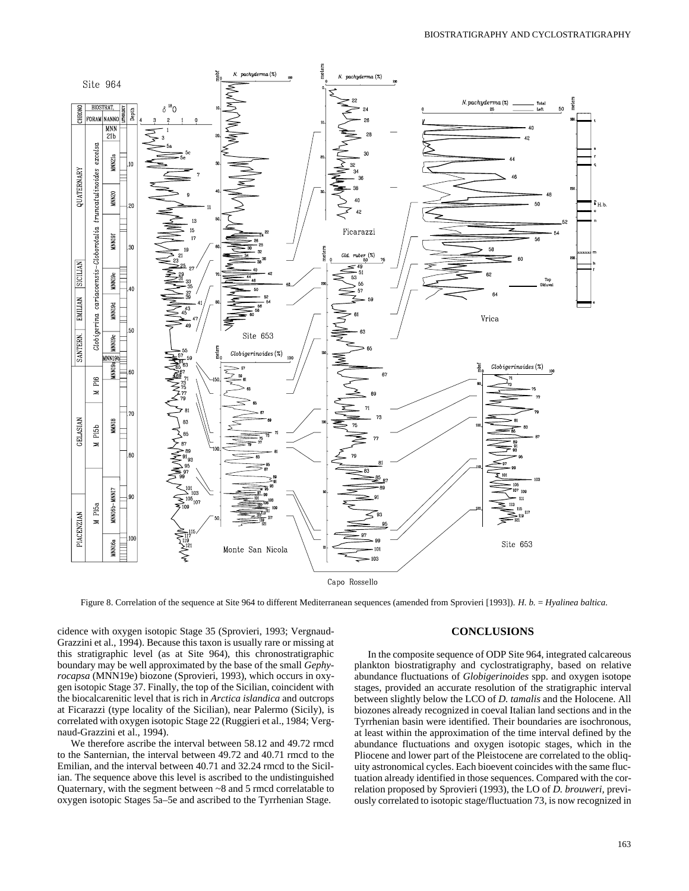

Figure 8. Correlation of the sequence at Site 964 to different Mediterranean sequences (amended from Sprovieri [1993]). *H. b.* = *Hyalinea baltica.*

cidence with oxygen isotopic Stage 35 (Sprovieri, 1993; Vergnaud-Grazzini et al., 1994). Because this taxon is usually rare or missing at this stratigraphic level (as at Site 964), this chronostratigraphic boundary may be well approximated by the base of the small *Gephyrocapsa* (MNN19e) biozone (Sprovieri, 1993), which occurs in oxygen isotopic Stage 37. Finally, the top of the Sicilian, coincident with the biocalcarenitic level that is rich in *Arctica islandica* and outcrops at Ficarazzi (type locality of the Sicilian), near Palermo (Sicily), is correlated with oxygen isotopic Stage 22 (Ruggieri et al., 1984; Vergnaud-Grazzini et al., 1994).

We therefore ascribe the interval between 58.12 and 49.72 rmcd to the Santernian, the interval between 49.72 and 40.71 rmcd to the Emilian, and the interval between 40.71 and 32.24 rmcd to the Sicilian. The sequence above this level is ascribed to the undistinguished Quaternary, with the segment between ~8 and 5 rmcd correlatable to oxygen isotopic Stages 5a–5e and ascribed to the Tyrrhenian Stage.

### **CONCLUSIONS**

In the composite sequence of ODP Site 964, integrated calcareous plankton biostratigraphy and cyclostratigraphy, based on relative abundance fluctuations of *Globigerinoides* spp. and oxygen isotope stages, provided an accurate resolution of the stratigraphic interval between slightly below the LCO of *D. tamalis* and the Holocene. All biozones already recognized in coeval Italian land sections and in the Tyrrhenian basin were identified. Their boundaries are isochronous, at least within the approximation of the time interval defined by the abundance fluctuations and oxygen isotopic stages, which in the Pliocene and lower part of the Pleistocene are correlated to the obliquity astronomical cycles. Each bioevent coincides with the same fluctuation already identified in those sequences. Compared with the correlation proposed by Sprovieri (1993), the LO of *D. brouweri,* previously correlated to isotopic stage/fluctuation 73, is now recognized in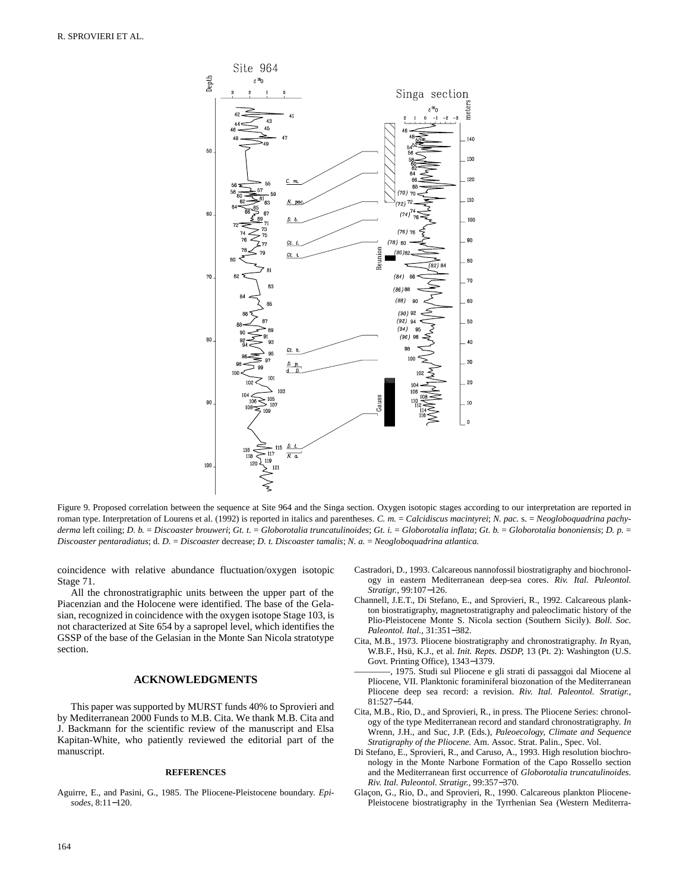

Figure 9. Proposed correlation between the sequence at Site 964 and the Singa section. Oxygen isotopic stages according to our interpretation are reported in roman type. Interpretation of Lourens et al. (1992) is reported in italics and parentheses. C. m. = Calcidiscus macintyrei; *N. pac.* s. = Neogloboquadrina pachyderma left coiling; D. b. = Discoaster brouweri; Gt. t. = Globorotalia truncatulinoides; Gt. i. = Globorotalia inflata; Gt. b. = Globorotalia bononiensis; D. p. = *Discoaster pentaradiatus*; d. *D.* = *Discoaster* decrease; *D. t. Discoaster tamalis*; *N. a.* = *Neogloboquadrina atlantica.*

coincidence with relative abundance fluctuation/oxygen isotopic Stage 71.

All the chronostratigraphic units between the upper part of the Piacenzian and the Holocene were identified. The base of the Gelasian, recognized in coincidence with the oxygen isotope Stage 103, is not characterized at Site 654 by a sapropel level, which identifies the GSSP of the base of the Gelasian in the Monte San Nicola stratotype section.

#### **ACKNOWLEDGMENTS**

This paper was supported by MURST funds 40% to Sprovieri and by Mediterranean 2000 Funds to M.B. Cita. We thank M.B. Cita and J. Backmann for the scientific review of the manuscript and Elsa Kapitan-White, who patiently reviewed the editorial part of the manuscript.

#### **REFERENCES**

Aguirre, E., and Pasini, G., 1985. The Pliocene-Pleistocene boundary. *Episodes,* 8:11−120.

- Castradori, D., 1993. Calcareous nannofossil biostratigraphy and biochronology in eastern Mediterranean deep-sea cores. *Riv. Ital. Paleontol. Stratigr.,* 99:107−126.
- Channell, J.E.T., Di Stefano, E., and Sprovieri, R., 1992. Calcareous plankton biostratigraphy, magnetostratigraphy and paleoclimatic history of the Plio-Pleistocene Monte S. Nicola section (Southern Sicily). *Boll. Soc. Paleontol. Ital.,* 31:351−382.
- Cita, M.B., 1973. Pliocene biostratigraphy and chronostratigraphy. *In* Ryan, W.B.F., Hsü, K.J., et al. *Init. Repts. DSDP,* 13 (Pt. 2): Washington (U.S. Govt. Printing Office), 1343−1379.
- ————, 1975. Studi sul Pliocene e gli strati di passaggoi dal Miocene al Pliocene, VII. Planktonic foraminiferal biozonation of the Mediterranean Pliocene deep sea record: a revision. *Riv. Ital. Paleontol. Stratigr.,* 81:527−544.
- Cita, M.B., Rio, D., and Sprovieri, R., in press. The Pliocene Series: chronology of the type Mediterranean record and standard chronostratigraphy. *In* Wrenn, J.H., and Suc, J.P. (Eds.), *Paleoecology, Climate and Sequence Stratigraphy of the Pliocene.* Am. Assoc. Strat. Palin., Spec. Vol.
- Di Stefano, E., Sprovieri, R., and Caruso, A., 1993. High resolution biochronology in the Monte Narbone Formation of the Capo Rossello section and the Mediterranean first occurrence of *Globorotalia truncatulinoides. Riv. Ital. Paleontol. Stratigr.,* 99:357−370.
- Glaçon, G., Rio, D., and Sprovieri, R., 1990. Calcareous plankton Pliocene-Pleistocene biostratigraphy in the Tyrrhenian Sea (Western Mediterra-